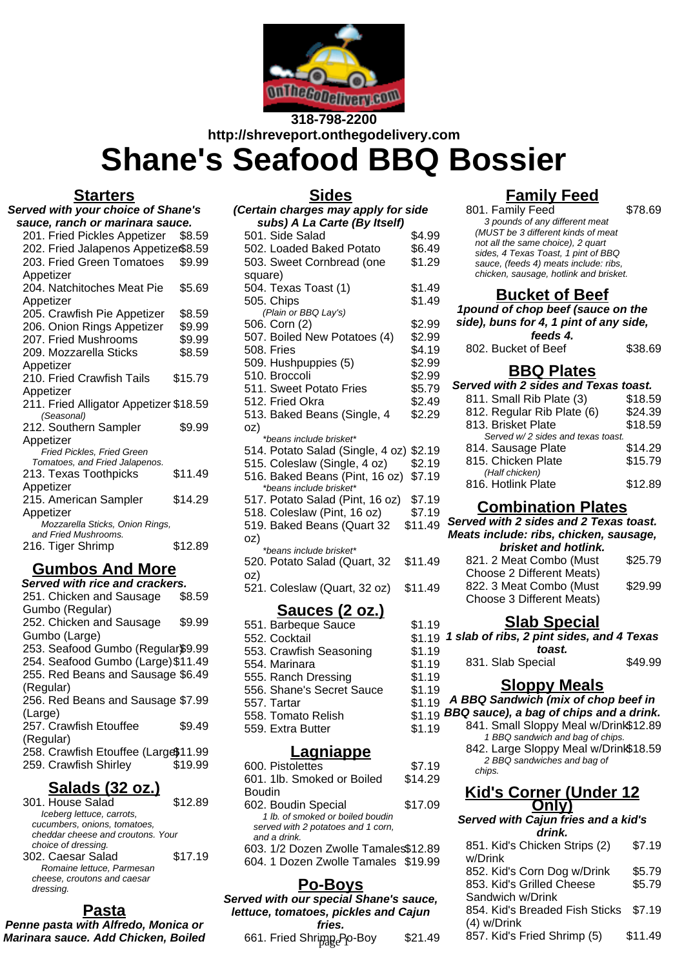

# **318-798-2200 http://shreveport.onthegodelivery.com Shane's Seafood BBQ Bossier**

#### **Starters**

| <b>Served with your choice of Shane's</b>                    |         |
|--------------------------------------------------------------|---------|
| sauce, ranch or marinara sauce.                              |         |
| 201. Fried Pickles Appetizer                                 | \$8.59  |
| 202. Fried Jalapenos Appetize\$8.59                          |         |
| 203. Fried Green Tomatoes                                    | \$9.99  |
| Appetizer                                                    |         |
| 204. Natchitoches Meat Pie                                   | \$5.69  |
| Appetizer                                                    |         |
| 205. Crawfish Pie Appetizer                                  | \$8.59  |
| 206. Onion Rings Appetizer                                   | \$9.99  |
| 207. Fried Mushrooms                                         | \$9.99  |
| 209. Mozzarella Sticks                                       | \$8.59  |
| Appetizer                                                    |         |
| 210. Fried Crawfish Tails                                    | \$15.79 |
| Appetizer                                                    |         |
| 211. Fried Alligator Appetizer \$18.59                       |         |
| (Seasonal)                                                   |         |
| 212. Southern Sampler                                        | \$9.99  |
| Appetizer                                                    |         |
| Fried Pickles, Fried Green<br>Tomatoes, and Fried Jalapenos. |         |
| 213. Texas Toothpicks                                        | \$11.49 |
| Appetizer                                                    |         |
| 215. American Sampler                                        | \$14.29 |
| Appetizer                                                    |         |
| Mozzarella Sticks, Onion Rings,                              |         |
| and Fried Mushrooms.                                         |         |
| 216. Tiger Shrimp                                            | \$12.89 |
|                                                              |         |

# **Gumbos And More**

| Served with rice and crackers.       |         |
|--------------------------------------|---------|
| 251. Chicken and Sausage             | \$8.59  |
| Gumbo (Regular)                      |         |
| 252. Chicken and Sausage             | \$9.99  |
| Gumbo (Large)                        |         |
| 253. Seafood Gumbo (Regular\$9.99    |         |
| 254. Seafood Gumbo (Large) \$11.49   |         |
| 255. Red Beans and Sausage \$6.49    |         |
| (Regular)                            |         |
| 256. Red Beans and Sausage \$7.99    |         |
| (Large)                              |         |
| 257. Crawfish Etouffee               | \$9.49  |
| (Regular)                            |         |
| 258. Crawfish Etouffee (Large\$11.99 |         |
| 259. Crawfish Shirley                | \$19.99 |
|                                      |         |

#### **Salads (32 oz.)**

| 301. House Salad                  | \$12.89 |
|-----------------------------------|---------|
| Iceberg lettuce, carrots,         |         |
| cucumbers, onions, tomatoes,      |         |
| cheddar cheese and croutons. Your |         |
| choice of dressing.               |         |
| 302. Caesar Salad                 | \$17.19 |
| Romaine lettuce, Parmesan         |         |
| cheese, croutons and caesar       |         |
| dressing.                         |         |

## **Pasta**

**Penne pasta with Alfredo, Monica or Marinara sauce. Add Chicken, Boiled**

| <b>Sides</b>                                              |         |  |
|-----------------------------------------------------------|---------|--|
| (Certain charges may apply for side                       |         |  |
| subs) A La Carte (By Itself)                              |         |  |
| 501. Side Salad                                           | \$4.99  |  |
| 502. Loaded Baked Potato                                  | \$6.49  |  |
| 503. Sweet Cornbread (one                                 | \$1.29  |  |
| square)                                                   |         |  |
| 504. Texas Toast (1)                                      | \$1.49  |  |
| 505. Chips                                                | \$1.49  |  |
| (Plain or BBQ Lay's)                                      |         |  |
| 506. Corn (2)                                             | \$2.99  |  |
| 507. Boiled New Potatoes (4)                              | \$2.99  |  |
| 508. Fries                                                | \$4.19  |  |
| 509. Hushpuppies (5)                                      | \$2.99  |  |
| 510. Broccoli                                             | \$2.99  |  |
| 511. Sweet Potato Fries                                   | \$5.79  |  |
| 512. Fried Okra                                           | \$2.49  |  |
| 513. Baked Beans (Single, 4                               | \$2.29  |  |
| oz)                                                       |         |  |
| *beans include brisket*                                   |         |  |
| 514. Potato Salad (Single, 4 oz) \$2.19                   |         |  |
| 515. Coleslaw (Single, 4 oz)                              | \$2.19  |  |
| 516. Baked Beans (Pint, 16 oz)<br>*beans include brisket* | \$7.19  |  |
| 517. Potato Salad (Pint, 16 oz)                           | \$7.19  |  |
| 518. Coleslaw (Pint, 16 oz)                               | \$7.19  |  |
| 519. Baked Beans (Quart 32                                | \$11.49 |  |
| oz)                                                       |         |  |
| *beans include brisket*                                   |         |  |
| 520. Potato Salad (Quart, 32                              | \$11.49 |  |
| oz)                                                       |         |  |
| 521. Coleslaw (Quart, 32 oz)                              | \$11.49 |  |
| <u>Sauces (2 oz.)</u>                                     |         |  |
| 551. Barbeque Sauce                                       | \$1.19  |  |
| 552. Cocktail                                             | \$1.19  |  |
| 553. Crawfish Seasoning                                   | \$1.19  |  |
| 554. Marinara                                             | \$1.19  |  |
| 555. Ranch Dressing                                       | \$1.19  |  |
| 556. Shane's Secret Sauce                                 | \$1.19  |  |
| 557. Tartar                                               | \$1.19  |  |
|                                                           |         |  |

#### 559. Extra Butter \$1.19 **Lagniappe**

558. Tomato Relish

| \$7.19                               |
|--------------------------------------|
| \$14.29                              |
|                                      |
| \$17.09                              |
|                                      |
|                                      |
|                                      |
| 603. 1/2 Dozen Zwolle Tamales\$12.89 |
| 604. 1 Dozen Zwolle Tamales \$19.99  |
|                                      |

#### **Po-Boys**

**Served with our special Shane's sauce, lettuce, tomatoes, pickles and Cajun fries.**

# **Family Feed**

801. Family Feed \$78.69

| <b>UU</b> I. LAILIII LUU               |  |
|----------------------------------------|--|
| 3 pounds of any different meat         |  |
| (MUST be 3 different kinds of meat     |  |
| not all the same choice), 2 quart      |  |
| sides, 4 Texas Toast, 1 pint of BBQ    |  |
| sauce, (feeds 4) meats include: ribs,  |  |
| chicken, sausage, hotlink and brisket. |  |
|                                        |  |

#### **Bucket of Beef**

**1pound of chop beef (sauce on the side), buns for 4, 1 pint of any side, feeds 4.** 802. Bucket of Beef \$38.69

## **BBQ Plates**

| Served with 2 sides and Texas toast. |         |  |  |
|--------------------------------------|---------|--|--|
| 811. Small Rib Plate (3)             | \$18.59 |  |  |
| 812. Regular Rib Plate (6)           | \$24.39 |  |  |
| 813. Brisket Plate                   | \$18.59 |  |  |
| Served w/2 sides and texas toast.    |         |  |  |
| 814. Sausage Plate                   | \$14.29 |  |  |
| 815. Chicken Plate                   | \$15.79 |  |  |
| (Half chicken)                       |         |  |  |
| 816. Hotlink Plate                   | \$12.89 |  |  |
|                                      |         |  |  |

#### **Combination Plates**

| Served with 2 sides and 2 Texas toast.<br>Meats include: ribs, chicken, sausage, |         |  |
|----------------------------------------------------------------------------------|---------|--|
| brisket and hotlink.                                                             |         |  |
| 821. 2 Meat Combo (Must                                                          | \$25.79 |  |
| Choose 2 Different Meats)                                                        |         |  |
| 822. 3 Meat Combo (Must                                                          | \$29.99 |  |
| Choose 3 Different Meats)                                                        |         |  |
|                                                                                  |         |  |

#### **Slab Special**

|    | 19 1 slab of ribs, 2 pint sides, and 4 Texas |         |
|----|----------------------------------------------|---------|
| 19 | toast.                                       |         |
| 19 | 831. Slab Special                            | \$49.99 |

# **Sloppy Meals**

**A BBQ Sandwich (mix of chop beef in**

- $$1.19$  BBQ sauce), a bag of chips and a drink.
	- 841. Small Sloppy Meal w/Drink\$12.89 1 BBQ sandwich and bag of chips.
		- 842. Large Sloppy Meal w/Drink\$18.59 2 BBQ sandwiches and bag of chips.

#### **Kid's Corner (Under 12 Only)**

#### **Served with Cajun fries and a kid's drink.**

| 603. 1/2 Dozen Zwolle Tamales\$12.89 | 851. Kid's Chicken Strips (2)                  | \$7.19                                                                                                   |
|--------------------------------------|------------------------------------------------|----------------------------------------------------------------------------------------------------------|
| 604. 1 Dozen Zwolle Tamales \$19.99  |                                                | \$5.79                                                                                                   |
|                                      | 853. Kid's Grilled Cheese                      | \$5.79                                                                                                   |
|                                      |                                                |                                                                                                          |
| tuce, tomatoes, pickles and Cajun    | 854. Kid's Breaded Fish Sticks                 | \$7.19                                                                                                   |
|                                      |                                                |                                                                                                          |
|                                      |                                                | \$11.49                                                                                                  |
|                                      | ved with our special Shane's sauce,<br>\$21.49 | w/Drink<br>852. Kid's Corn Dog w/Drink<br>Sandwich w/Drink<br>(4) w/Drink<br>857. Kid's Fried Shrimp (5) |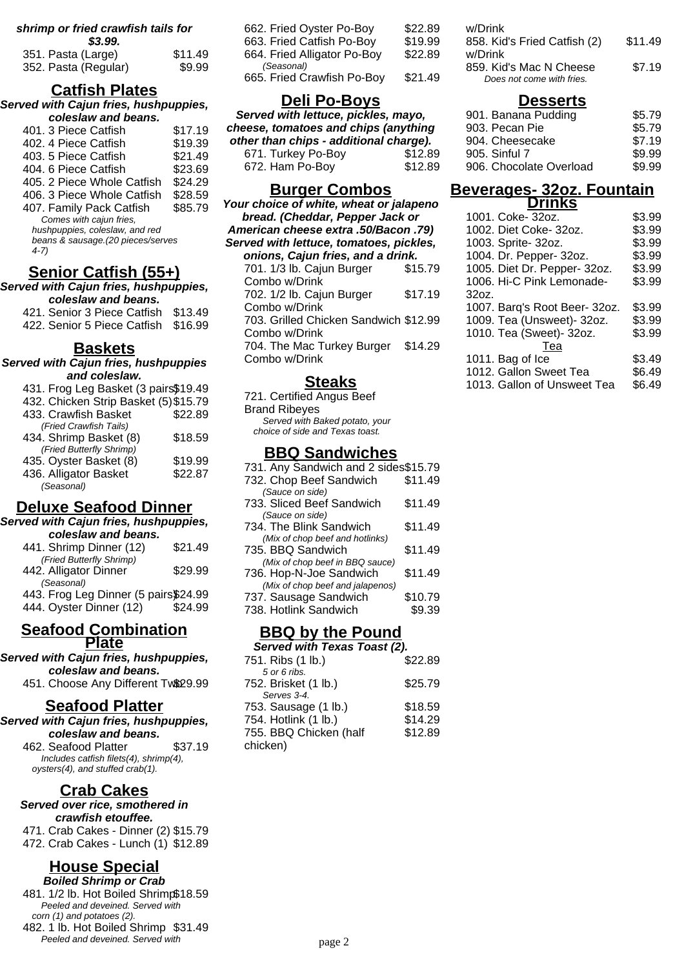#### **shrimp or fried crawfish tails for \$3.99.**

| vv.vv.               |         |
|----------------------|---------|
| 351. Pasta (Large)   | \$11.49 |
| 352. Pasta (Regular) | \$9.99  |

# **Catfish Plates**

**Served with Cajun fries, hushpuppies, coleslaw and beans.**

| LUIC310W 011U UCC                  |         |
|------------------------------------|---------|
| 401. 3 Piece Catfish               | \$17.19 |
| 402. 4 Piece Catfish               | \$19.39 |
| 403. 5 Piece Catfish               | \$21.49 |
| 404, 6 Piece Catfish               | \$23.69 |
| 405, 2 Piece Whole Catfish         | \$24.29 |
| 406. 3 Piece Whole Catfish         | \$28.59 |
| 407. Family Pack Catfish           | \$85.79 |
| Comes with cajun fries,            |         |
| hushpuppies, coleslaw, and red     |         |
| beans & sausage. (20 pieces/serves |         |
| $4-7)$                             |         |
|                                    |         |

# **Senior Catfish (55+)**

**Served with Cajun fries, hushpuppies, coleslaw and beans.**

421. Senior 3 Piece Catfish \$13.49 422. Senior 5 Piece Catfish \$16.99

# **Baskets**

| Served with Cajun fries, hushpuppies  |         |  |
|---------------------------------------|---------|--|
| and coleslaw.                         |         |  |
| 431. Frog Leg Basket (3 pairs\$19.49  |         |  |
| 432. Chicken Strip Basket (5) \$15.79 |         |  |
| 433. Crawfish Basket                  | \$22.89 |  |
| (Fried Crawfish Tails)                |         |  |
| 434. Shrimp Basket (8)                | \$18.59 |  |
| (Fried Butterfly Shrimp)              |         |  |
| 435. Oyster Basket (8)                | \$19.99 |  |
| 436. Alligator Basket                 | \$22.87 |  |
| (Seasonal)                            |         |  |

## **Deluxe Seafood Dinner**

**Served with Cajun fries, hushpuppies, coleslaw and beans.** 441. Shrimp Dinner (12) \$21.49 (Fried Butterfly Shrimp) 442. Alligator Dinner \$29.99 (Seasonal)  $442.$  Frog Leg Dinner (5 pairs) $624.99$ 

| 443. Frog Leg Dinner (5 pairs \$24.99 |         |
|---------------------------------------|---------|
| 444. Oyster Dinner (12)               | \$24.99 |

#### **Seafood Combination Plate**

**Served with Cajun fries, hushpuppies, coleslaw and beans.**

# 451. Choose Any Different Tw\$29.99

## **Seafood Platter**

**Served with Cajun fries, hushpuppies, coleslaw and beans.** 462. Seafood Platter \$37.19 Includes catfish filets(4), shrimp(4),

oysters(4), and stuffed crab(1).

# **Crab Cakes**

**Served over rice, smothered in crawfish etouffee.**

471. Crab Cakes - Dinner (2) \$15.79 472. Crab Cakes - Lunch (1) \$12.89

# **House Special**

**Boiled Shrimp or Crab**

481. 1/2 lb. Hot Boiled Shrimp\$18.59 Peeled and deveined. Served with corn (1) and potatoes (2).

482. 1 lb. Hot Boiled Shrimp \$31.49 Peeled and deveined. Served with

| 662. Fried Oyster Po-Boy    | \$22.89 |
|-----------------------------|---------|
| 663. Fried Catfish Po-Boy   | \$19.99 |
| 664. Fried Alligator Po-Boy | \$22.89 |
| (Seasonal)                  |         |
| 665. Fried Crawfish Po-Boy  | \$21.49 |
|                             |         |

# **Deli Po-Boys**

**Served with lettuce, pickles, mayo, cheese, tomatoes and chips (anything other than chips - additional charge).** 671. Turkey Po-Boy \$12.89

672. Ham Po-Boy \$12.89

# **Burger Combos**

**Your choice of white, wheat or jalapeno bread. (Cheddar, Pepper Jack or American cheese extra .50/Bacon .79) Served with lettuce, tomatoes, pickles, onions, Cajun fries, and a drink.** 701. 1/3 lb. Cajun Burger Combo w/Drink \$15.79 702. 1/2 lb. Cajun Burger Combo w/Drink \$17.19 703. Grilled Chicken Sandwich \$12.99 Combo w/Drink 704. The Mac Turkey Burger Combo w/Drink \$14.29

#### **Steaks**

721. Certified Angus Beef Brand Ribeyes Served with Baked potato, your choice of side and Texas toast.

#### **BBQ Sandwiches**

| 731. Any Sandwich and 2 sides\$15.79 |         |
|--------------------------------------|---------|
| 732. Chop Beef Sandwich              | \$11.49 |
| (Sauce on side)                      |         |
| 733. Sliced Beef Sandwich            | \$11.49 |
| (Sauce on side)                      |         |
| 734. The Blink Sandwich              | \$11.49 |
| (Mix of chop beef and hotlinks)      |         |
| 735. BBQ Sandwich                    | \$11.49 |
| (Mix of chop beef in BBQ sauce)      |         |
| 736. Hop-N-Joe Sandwich              | \$11.49 |
| (Mix of chop beef and jalapenos)     |         |
| 737. Sausage Sandwich                | \$10.79 |
| 738. Hotlink Sandwich                | \$9.39  |
|                                      |         |

## **BBQ by the Pound**

| Served with Texas Toast (2). |         |  |
|------------------------------|---------|--|
| 751. Ribs (1 lb.)            | \$22.89 |  |
| 5 or 6 ribs.                 |         |  |
| 752. Brisket (1 lb.)         | \$25.79 |  |
| Serves 3-4                   |         |  |
| 753. Sausage (1 lb.)         | \$18.59 |  |
| 754. Hotlink (1 lb.)         | \$14.29 |  |
| 755. BBQ Chicken (half       | \$12.89 |  |
| chicken)                     |         |  |
|                              |         |  |

| w/Drink<br>858. Kid's Fried Catfish (2)<br>w/Drink   | \$11.49 |
|------------------------------------------------------|---------|
| 859. Kid's Mac N Cheese<br>Does not come with fries. | \$7.19  |

#### **Desserts**

| 901. Banana Pudding     | \$5.79 |
|-------------------------|--------|
| 903. Pecan Pie          | \$5.79 |
| 904. Cheesecake         | \$7.19 |
| 905. Sinful 7           | \$9.99 |
| 906. Chocolate Overload | \$9.99 |
|                         |        |

#### **Beverages- 32oz. Fountain Drinks**

| 1001. Coke- 32oz.             | \$3.99 |
|-------------------------------|--------|
| 1002. Diet Coke- 32oz.        | \$3.99 |
| 1003. Sprite- 32oz.           | \$3.99 |
| 1004. Dr. Pepper- 32oz.       | \$3.99 |
| 1005. Diet Dr. Pepper- 32oz.  | \$3.99 |
| 1006. Hi-C Pink Lemonade-     | \$3.99 |
| 32oz.                         |        |
| 1007. Barq's Root Beer- 32oz. | \$3.99 |
| 1009. Tea (Unsweet)- 32oz.    | \$3.99 |
| 1010. Tea (Sweet)- 32oz.      | \$3.99 |
| Tea                           |        |
| 1011. Bag of Ice              | \$3.49 |
| 1012. Gallon Sweet Tea        | \$6.49 |
| 1013. Gallon of Unsweet Tea   | \$6.49 |
|                               |        |